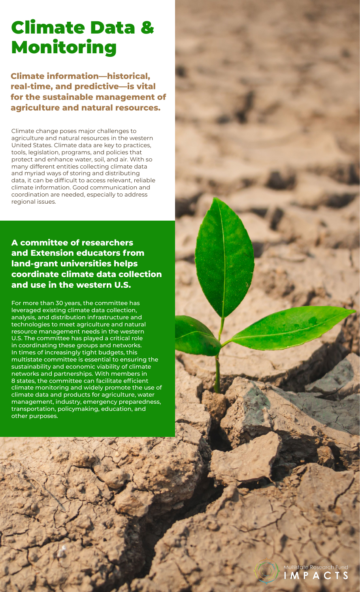# Climate Data & Monitoring

**Climate information—historical, real-time, and predictive—is vital for the sustainable management of agriculture and natural resources.**

Climate change poses major challenges to agriculture and natural resources in the western United States. Climate data are key to practices, tools, legislation, programs, and policies that protect and enhance water, soil, and air. With so many different entities collecting climate data and myriad ways of storing and distributing data, it can be difficult to access relevant, reliable climate information. Good communication and coordination are needed, especially to address regional issues.

**A committee of researchers and Extension educators from land-grant universities helps coordinate climate data collection and use in the western U.S.**

For more than 30 years, the committee has leveraged existing climate data collection, analysis, and distribution infrastructure and technologies to meet agriculture and natural resource management needs in the western U.S. The committee has played a critical role in coordinating these groups and networks. In times of increasingly tight budgets, this multistate committee is essential to ensuring the sustainability and economic viability of climate networks and partnerships. With members in 8 states, the committee can facilitate efficient climate monitoring and widely promote the use of climate data and products for agriculture, water management, industry, emergency preparedness, transportation, policymaking, education, and other purposes.

> earch Func **CONTRACTOR**